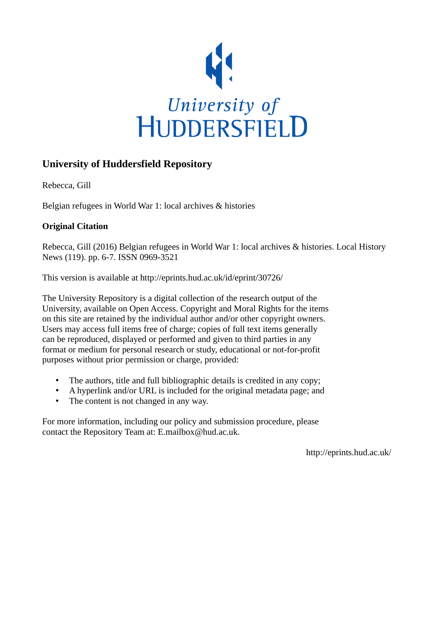

## **University of Huddersfield Repository**

Rebecca, Gill

Belgian refugees in World War 1: local archives & histories

## **Original Citation**

Rebecca, Gill (2016) Belgian refugees in World War 1: local archives & histories. Local History News (119). pp. 6-7. ISSN 0969-3521

This version is available at http://eprints.hud.ac.uk/id/eprint/30726/

The University Repository is a digital collection of the research output of the University, available on Open Access. Copyright and Moral Rights for the items on this site are retained by the individual author and/or other copyright owners. Users may access full items free of charge; copies of full text items generally can be reproduced, displayed or performed and given to third parties in any format or medium for personal research or study, educational or not-for-profit purposes without prior permission or charge, provided:

- The authors, title and full bibliographic details is credited in any copy;
- A hyperlink and/or URL is included for the original metadata page; and
- The content is not changed in any way.

For more information, including our policy and submission procedure, please contact the Repository Team at: E.mailbox@hud.ac.uk.

http://eprints.hud.ac.uk/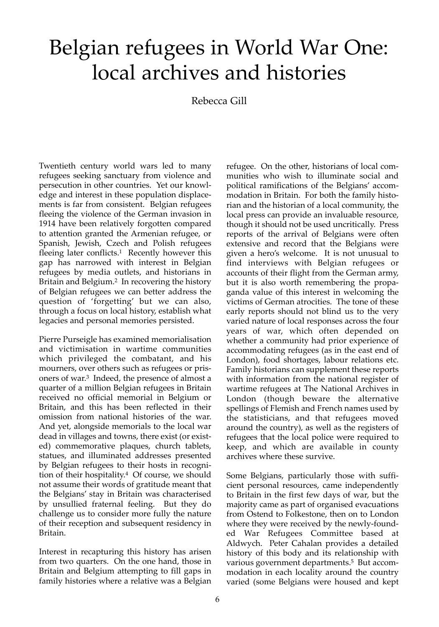## Belgian refugees in World War One: local archives and histories

Rebecca Gill

Twentieth century world wars led to many refugees seeking sanctuary from violence and persecution in other countries. Yet our knowledge and interest in these population displacements is far from consistent. Belgian refugees fleeing the violence of the German invasion in 1914 have been relatively forgotten compared to attention granted the Armenian refugee, or Spanish, Jewish, Czech and Polish refugees fleeing later conflicts.<sup>1</sup> Recently however this gap has narrowed with interest in Belgian refugees by media outlets, and historians in Britain and Belgium.2 In recovering the history of Belgian refugees we can better address the question of 'forgetting' but we can also, through a focus on local history, establish what legacies and personal memories persisted.

Pierre Purseigle has examined memorialisation and victimisation in wartime communities which privileged the combatant, and his mourners, over others such as refugees or prisoners of war.3 Indeed, the presence of almost a quarter of a million Belgian refugees in Britain received no official memorial in Belgium or Britain, and this has been reflected in their omission from national histories of the war. And yet, alongside memorials to the local war dead in villages and towns, there exist (or existed) commemorative plaques, church tablets, statues, and illuminated addresses presented by Belgian refugees to their hosts in recognition of their hospitality.4 Of course, we should not assume their words of gratitude meant that the Belgians' stay in Britain was characterised by unsullied fraternal feeling. But they do challenge us to consider more fully the nature of their reception and subsequent residency in Britain.

Interest in recapturing this history has arisen from two quarters. On the one hand, those in Britain and Belgium attempting to fill gaps in family histories where a relative was a Belgian refugee. On the other, historians of local communities who wish to illuminate social and political ramifications of the Belgians' accommodation in Britain. For both the family historian and the historian of a local community, the local press can provide an invaluable resource, though it should not be used uncritically. Press reports of the arrival of Belgians were often extensive and record that the Belgians were given a hero's welcome. It is not unusual to find interviews with Belgian refugees or accounts of their flight from the German army, but it is also worth remembering the propaganda value of this interest in welcoming the victims of German atrocities. The tone of these early reports should not blind us to the very varied nature of local responses across the four years of war, which often depended on whether a community had prior experience of accommodating refugees (as in the east end of London), food shortages, labour relations etc. Family historians can supplement these reports with information from the national register of wartime refugees at The National Archives in London (though beware the alternative spellings of Flemish and French names used by the statisticians, and that refugees moved around the country), as well as the registers of refugees that the local police were required to keep, and which are available in county archives where these survive.

Some Belgians, particularly those with sufficient personal resources, came independently to Britain in the first few days of war, but the majority came as part of organised evacuations from Ostend to Folkestone, then on to London where they were received by the newly-founded War Refugees Committee based at Aldwych. Peter Cahalan provides a detailed history of this body and its relationship with various government departments.<sup>5</sup> But accommodation in each locality around the country varied (some Belgians were housed and kept